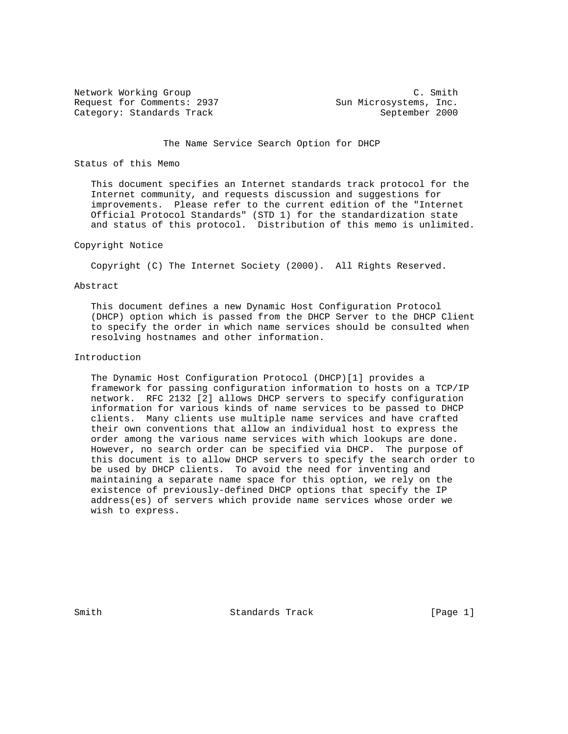Network Working Group C. Smith Request for Comments: 2937 Sun Microsystems, Inc. Category: Standards Track September 2000

## The Name Service Search Option for DHCP

## Status of this Memo

 This document specifies an Internet standards track protocol for the Internet community, and requests discussion and suggestions for improvements. Please refer to the current edition of the "Internet Official Protocol Standards" (STD 1) for the standardization state and status of this protocol. Distribution of this memo is unlimited.

### Copyright Notice

Copyright (C) The Internet Society (2000). All Rights Reserved.

#### Abstract

 This document defines a new Dynamic Host Configuration Protocol (DHCP) option which is passed from the DHCP Server to the DHCP Client to specify the order in which name services should be consulted when resolving hostnames and other information.

# Introduction

 The Dynamic Host Configuration Protocol (DHCP)[1] provides a framework for passing configuration information to hosts on a TCP/IP network. RFC 2132 [2] allows DHCP servers to specify configuration information for various kinds of name services to be passed to DHCP clients. Many clients use multiple name services and have crafted their own conventions that allow an individual host to express the order among the various name services with which lookups are done. However, no search order can be specified via DHCP. The purpose of this document is to allow DHCP servers to specify the search order to be used by DHCP clients. To avoid the need for inventing and maintaining a separate name space for this option, we rely on the existence of previously-defined DHCP options that specify the IP address(es) of servers which provide name services whose order we wish to express.

Smith Standards Track [Page 1]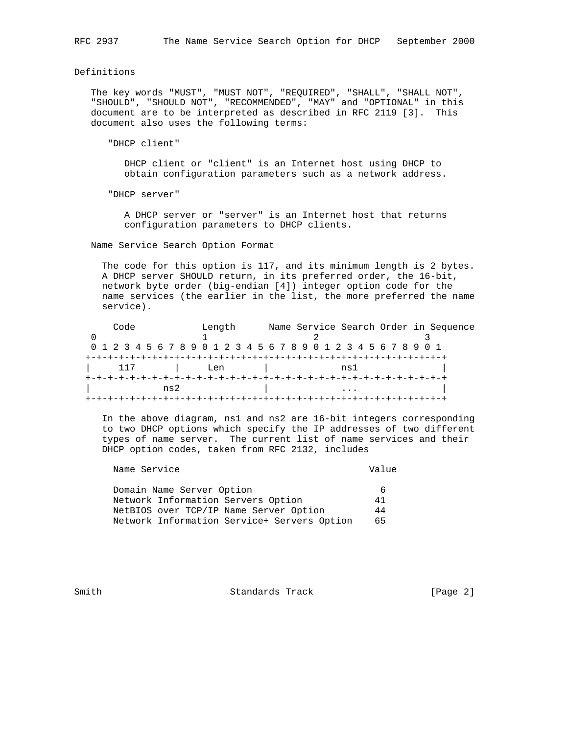Definitions

 The key words "MUST", "MUST NOT", "REQUIRED", "SHALL", "SHALL NOT", "SHOULD", "SHOULD NOT", "RECOMMENDED", "MAY" and "OPTIONAL" in this document are to be interpreted as described in RFC 2119 [3]. This document also uses the following terms:

"DHCP client"

 DHCP client or "client" is an Internet host using DHCP to obtain configuration parameters such as a network address.

"DHCP server"

 A DHCP server or "server" is an Internet host that returns configuration parameters to DHCP clients.

Name Service Search Option Format

 The code for this option is 117, and its minimum length is 2 bytes. A DHCP server SHOULD return, in its preferred order, the 16-bit, network byte order (big-endian [4]) integer option code for the name services (the earlier in the list, the more preferred the name service).

| Code | Length | Name Service Search Order in Sequence                           |  |
|------|--------|-----------------------------------------------------------------|--|
|      |        |                                                                 |  |
|      |        | 0 1 2 3 4 5 6 7 8 9 0 1 2 3 4 5 6 7 8 9 0 1 2 3 4 5 6 7 8 9 0 1 |  |
|      |        | +-+-+-+-+-+-+-+-+-+-+-+-+-+-+-+-+-+-+-+                         |  |
|      | Len    | ns1                                                             |  |
|      |        |                                                                 |  |
| ns2  |        |                                                                 |  |
|      |        |                                                                 |  |

 In the above diagram, ns1 and ns2 are 16-bit integers corresponding to two DHCP options which specify the IP addresses of two different types of name server. The current list of name services and their DHCP option codes, taken from RFC 2132, includes

Name Service Value

| Domain Name Server Option                   | 6.  |
|---------------------------------------------|-----|
| Network Information Servers Option          | 41  |
| NetBIOS over TCP/IP Name Server Option      | 44  |
| Network Information Service+ Servers Option | 65. |

Smith Standards Track [Page 2]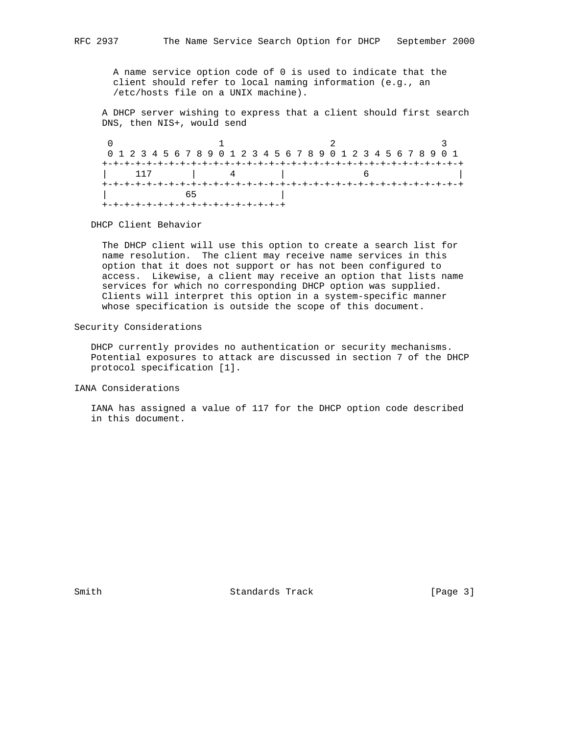A name service option code of 0 is used to indicate that the client should refer to local naming information (e.g., an /etc/hosts file on a UNIX machine).

 A DHCP server wishing to express that a client should first search DNS, then NIS+, would send

| 0 1 2 3 4 5 6 7 8 9 0 1 2 3 4 5 6 7 8 9 0 1 2 3 4 5 6 7 8 9 0 1 |  |     |  |  |  |  |  |  |  |  |  |  |  |  |  |  |  |  |  |  |  |  |  |  |  |  |  |  |  |  |
|-----------------------------------------------------------------|--|-----|--|--|--|--|--|--|--|--|--|--|--|--|--|--|--|--|--|--|--|--|--|--|--|--|--|--|--|--|
|                                                                 |  |     |  |  |  |  |  |  |  |  |  |  |  |  |  |  |  |  |  |  |  |  |  |  |  |  |  |  |  |  |
|                                                                 |  | 117 |  |  |  |  |  |  |  |  |  |  |  |  |  |  |  |  |  |  |  |  |  |  |  |  |  |  |  |  |
|                                                                 |  |     |  |  |  |  |  |  |  |  |  |  |  |  |  |  |  |  |  |  |  |  |  |  |  |  |  |  |  |  |
|                                                                 |  |     |  |  |  |  |  |  |  |  |  |  |  |  |  |  |  |  |  |  |  |  |  |  |  |  |  |  |  |  |
|                                                                 |  |     |  |  |  |  |  |  |  |  |  |  |  |  |  |  |  |  |  |  |  |  |  |  |  |  |  |  |  |  |

DHCP Client Behavior

 The DHCP client will use this option to create a search list for name resolution. The client may receive name services in this option that it does not support or has not been configured to access. Likewise, a client may receive an option that lists name services for which no corresponding DHCP option was supplied. Clients will interpret this option in a system-specific manner whose specification is outside the scope of this document.

Security Considerations

 DHCP currently provides no authentication or security mechanisms. Potential exposures to attack are discussed in section 7 of the DHCP protocol specification [1].

IANA Considerations

 IANA has assigned a value of 117 for the DHCP option code described in this document.

Smith Standards Track [Page 3]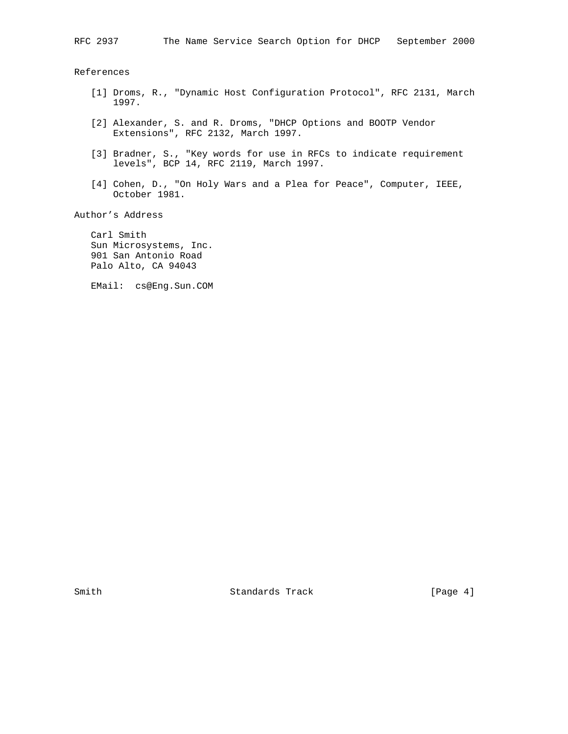References

- [1] Droms, R., "Dynamic Host Configuration Protocol", RFC 2131, March 1997.
- [2] Alexander, S. and R. Droms, "DHCP Options and BOOTP Vendor Extensions", RFC 2132, March 1997.
- [3] Bradner, S., "Key words for use in RFCs to indicate requirement levels", BCP 14, RFC 2119, March 1997.
- [4] Cohen, D., "On Holy Wars and a Plea for Peace", Computer, IEEE, October 1981.

Author's Address

 Carl Smith Sun Microsystems, Inc. 901 San Antonio Road Palo Alto, CA 94043

EMail: cs@Eng.Sun.COM

Smith Standards Track [Page 4]